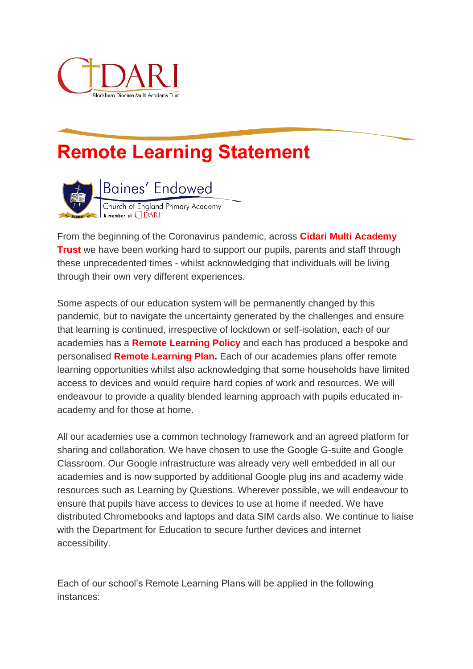

## **Remote Learning Statement**



From the beginning of the Coronavirus pandemic, across **Cidari Multi Academy Trust** we have been working hard to support our pupils, parents and staff through these unprecedented times - whilst acknowledging that individuals will be living through their own very different experiences.

Some aspects of our education system will be permanently changed by this pandemic, but to navigate the uncertainty generated by the challenges and ensure that learning is continued, irrespective of lockdown or self-isolation, each of our academies has a **Remote Learning Policy** and each has produced a bespoke and personalised **Remote Learning Plan.** Each of our academies plans offer remote learning opportunities whilst also acknowledging that some households have limited access to devices and would require hard copies of work and resources. We will endeavour to provide a quality blended learning approach with pupils educated inacademy and for those at home.

All our academies use a common technology framework and an agreed platform for sharing and collaboration. We have chosen to use the Google G-suite and Google Classroom. Our Google infrastructure was already very well embedded in all our academies and is now supported by additional Google plug ins and academy wide resources such as Learning by Questions. Wherever possible, we will endeavour to ensure that pupils have access to devices to use at home if needed. We have distributed Chromebooks and laptops and data SIM cards also. We continue to liaise with the Department for Education to secure further devices and internet accessibility.

Each of our school's Remote Learning Plans will be applied in the following instances: